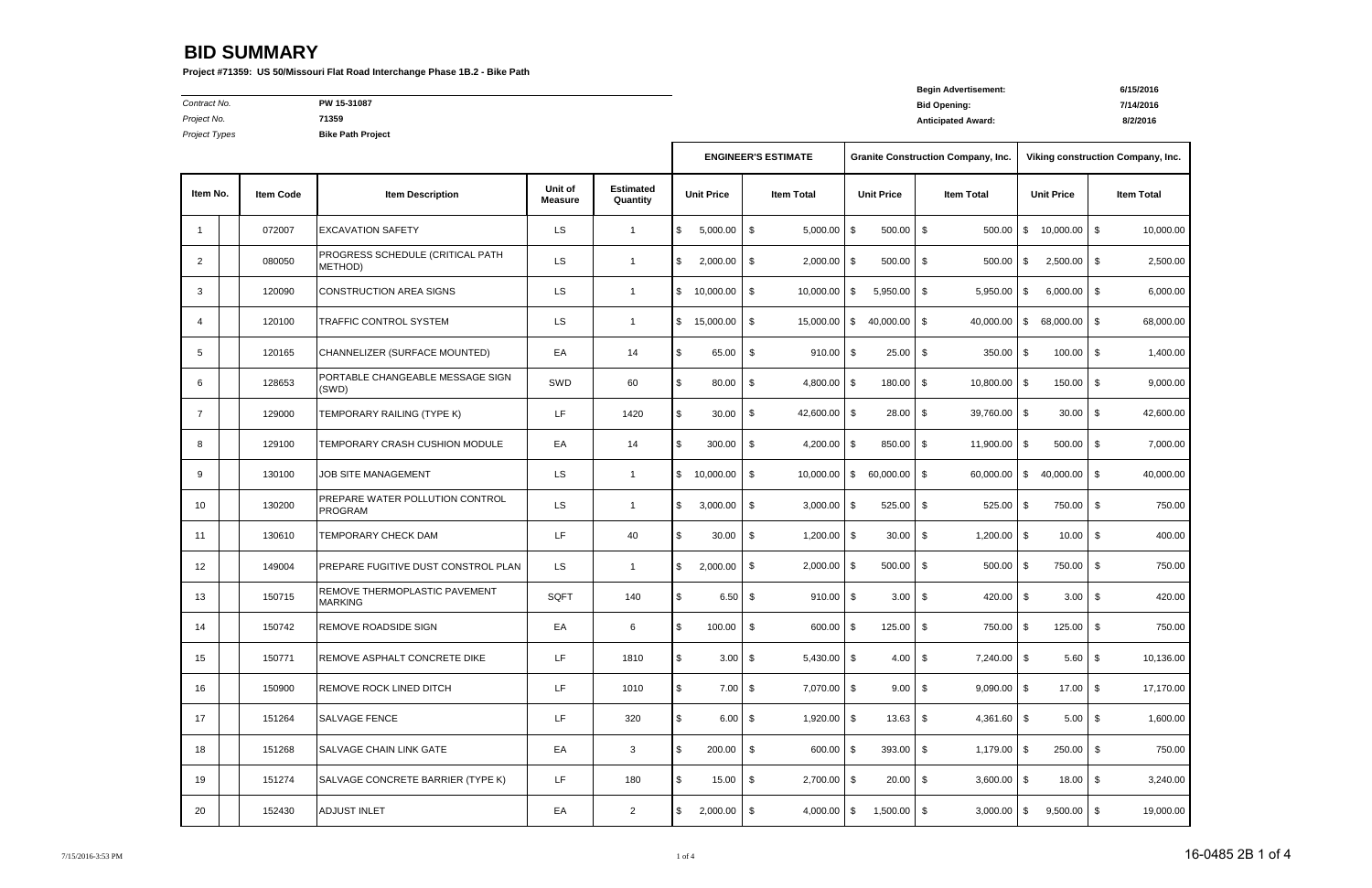*Project No.* **71359 Anticipated Award: 8/2/2016**

*Project Types* **Bike Path Project**

|                 |                  |                                                 |                    |                              |                            | <b>ENGINEER'S ESTIMATE</b> |                   |                   | <b>Granite Construction Company, Inc.</b> | Viking construction Company, Inc. |                   |    |                   |  |
|-----------------|------------------|-------------------------------------------------|--------------------|------------------------------|----------------------------|----------------------------|-------------------|-------------------|-------------------------------------------|-----------------------------------|-------------------|----|-------------------|--|
| Item No.        | <b>Item Code</b> | <b>Item Description</b>                         | Unit of<br>Measure | <b>Estimated</b><br>Quantity | <b>Unit Price</b>          | <b>Item Total</b>          | <b>Unit Price</b> | <b>Item Total</b> |                                           |                                   | <b>Unit Price</b> |    | <b>Item Total</b> |  |
| -1              | 072007           | <b>EXCAVATION SAFETY</b>                        | <b>LS</b>          | $\mathbf{1}$                 | 5,000.00<br>\$             | \$<br>$5,000.00$ \$        | 500.00            | \$                | 500.00                                    | \$                                | 10,000.00         | \$ | 10,000.00         |  |
| $\overline{2}$  | 080050           | PROGRESS SCHEDULE (CRITICAL PATH<br>METHOD)     | <b>LS</b>          | $\mathbf{1}$                 | 2,000.00<br>\$             | \$<br>$2,000.00$ \$        | 500.00            | \$                | 500.00                                    | \$                                | 2,500.00          | \$ | 2,500.00          |  |
| 3               | 120090           | CONSTRUCTION AREA SIGNS                         | <b>LS</b>          | $\overline{1}$               | \$<br>10,000.00            | \$<br>$10,000.00$ \$       | 5,950.00          | \$                | 5,950.00                                  | \$                                | 6,000.00          | \$ | 6,000.00          |  |
| $\overline{4}$  | 120100           | <b>TRAFFIC CONTROL SYSTEM</b>                   | <b>LS</b>          | $\mathbf{1}$                 | $\mathsf{\$}$<br>15,000.00 | \$<br>15,000.00            | \$<br>40,000.00   | \$                | 40,000.00                                 | \$                                | 68,000.00         | \$ | 68,000.00         |  |
| 5               | 120165           | CHANNELIZER (SURFACE MOUNTED)                   | EA                 | 14                           | 65.00<br>\$                | \$<br>$910.00$ \$          | 25.00             | \$                | $350.00$ \ \$                             |                                   | 100.00            | \$ | 1,400.00          |  |
| 6               | 128653           | PORTABLE CHANGEABLE MESSAGE SIGN<br>(SWD)       | SWD                | 60                           | \$<br>80.00                | \$<br>$4,800.00$ \$        | 180.00            | \$                | 10,800.00 \$                              |                                   | 150.00            | \$ | 9,000.00          |  |
| $\overline{7}$  | 129000           | TEMPORARY RAILING (TYPE K)                      | LF.                | 1420                         | \$<br>30.00                | \$<br>42,600.00 \$         | 28.00             | -\$               | 39,760.00 \$                              |                                   | 30.00             | \$ | 42,600.00         |  |
| 8               | 129100           | TEMPORARY CRASH CUSHION MODULE                  | EA                 | 14                           | \$<br>300.00               | \$<br>4,200.00 $\$\$       | 850.00            | \$                | $11,900.00$ \$                            |                                   | 500.00            | \$ | 7,000.00          |  |
| 9               | 130100           | JOB SITE MANAGEMENT                             | <b>LS</b>          | $\mathbf{1}$                 | $\mathbb{S}$<br>10,000.00  | \$<br>10,000.00            | 60,000.00<br>\$   | \$                | 60,000.00                                 | \$                                | 40,000.00         | \$ | 40,000.00         |  |
| 10              | 130200           | PREPARE WATER POLLUTION CONTROL<br>PROGRAM      | LS                 | $\mathbf{1}$                 | \$<br>3,000.00             | \$<br>$3,000.00$ \$        | 525.00            | \$                | $525.00$ \$                               |                                   | 750.00            | \$ | 750.00            |  |
| 11              | 130610           | TEMPORARY CHECK DAM                             | LF.                | 40                           | \$<br>30.00                | \$<br>$1,200.00$ \$        | 30.00             | -\$               | $1,200.00$ \$                             |                                   | 10.00             | \$ | 400.00            |  |
| 12 <sup>°</sup> | 149004           | PREPARE FUGITIVE DUST CONSTROL PLAN             | <b>LS</b>          | $\mathbf{1}$                 | \$<br>2,000.00             | \$<br>$2,000.00$ \$        | 500.00            | \$                | $500.00$ \ \$                             |                                   | 750.00            | \$ | 750.00            |  |
| 13              | 150715           | REMOVE THERMOPLASTIC PAVEMENT<br><b>MARKING</b> | SQFT               | 140                          | \$<br>6.50                 | \$<br>$910.00$ \$          | 3.00              | \$                | 420.00 $\frac{1}{2}$                      |                                   | 3.00              | \$ | 420.00            |  |
| 14              | 150742           | <b>REMOVE ROADSIDE SIGN</b>                     | EA                 | 6                            | \$<br>100.00               | \$<br>$600.00$ \$          | 125.00            | \$                | 750.00 \$                                 |                                   | 125.00            | \$ | 750.00            |  |
| 15              | 150771           | REMOVE ASPHALT CONCRETE DIKE                    | LF                 | 1810                         | \$<br>$3.00 \, \$$         | 5,430.00 \$                | 4.00              | $\sqrt[6]{3}$     | 7,240.00 \$                               |                                   | $5.60$ \$         |    | 10,136.00         |  |
| 16              | 150900           | REMOVE ROCK LINED DITCH                         | LF                 | 1010                         | $7.00$ \$<br>\$            | $7,070.00$ \$              | $9.00$ \$         |                   | $9,090.00$ \$                             |                                   | $17.00$ \$        |    | 17,170.00         |  |
| 17              | 151264           | <b>SALVAGE FENCE</b>                            | LF                 | 320                          | \$<br>$6.00$ \$            | $1,920.00$ \$              | $13.63$ \$        |                   | 4,361.60 \$                               |                                   | 5.00              | \$ | 1,600.00          |  |
| 18              | 151268           | SALVAGE CHAIN LINK GATE                         | EA                 | 3                            | 200.00<br>\$               | \$<br>$600.00$ \$          | $393.00$ \$       |                   | 1,179.00 \$                               |                                   | $250.00$ \$       |    | 750.00            |  |
| 19              | 151274           | SALVAGE CONCRETE BARRIER (TYPE K)               | LF                 | 180                          | \$<br>15.00                | \$<br>$2,700.00$ \$        | $20.00$ \$        |                   | $3,600.00$ \$                             |                                   | 18.00             | \$ | 3,240.00          |  |
| 20              | 152430           | <b>ADJUST INLET</b>                             | EA                 | $\overline{2}$               | \$<br>2,000.00             | \$<br>$4,000.00$ \$        | $1,500.00$ \$     |                   | $3,000.00$ \$                             |                                   | $9,500.00$ \$     |    | 19,000.00         |  |

# **BID SUMMARY**

**Project #71359: US 50/Missouri Flat Road Interchange Phase 1B.2 - Bike Path**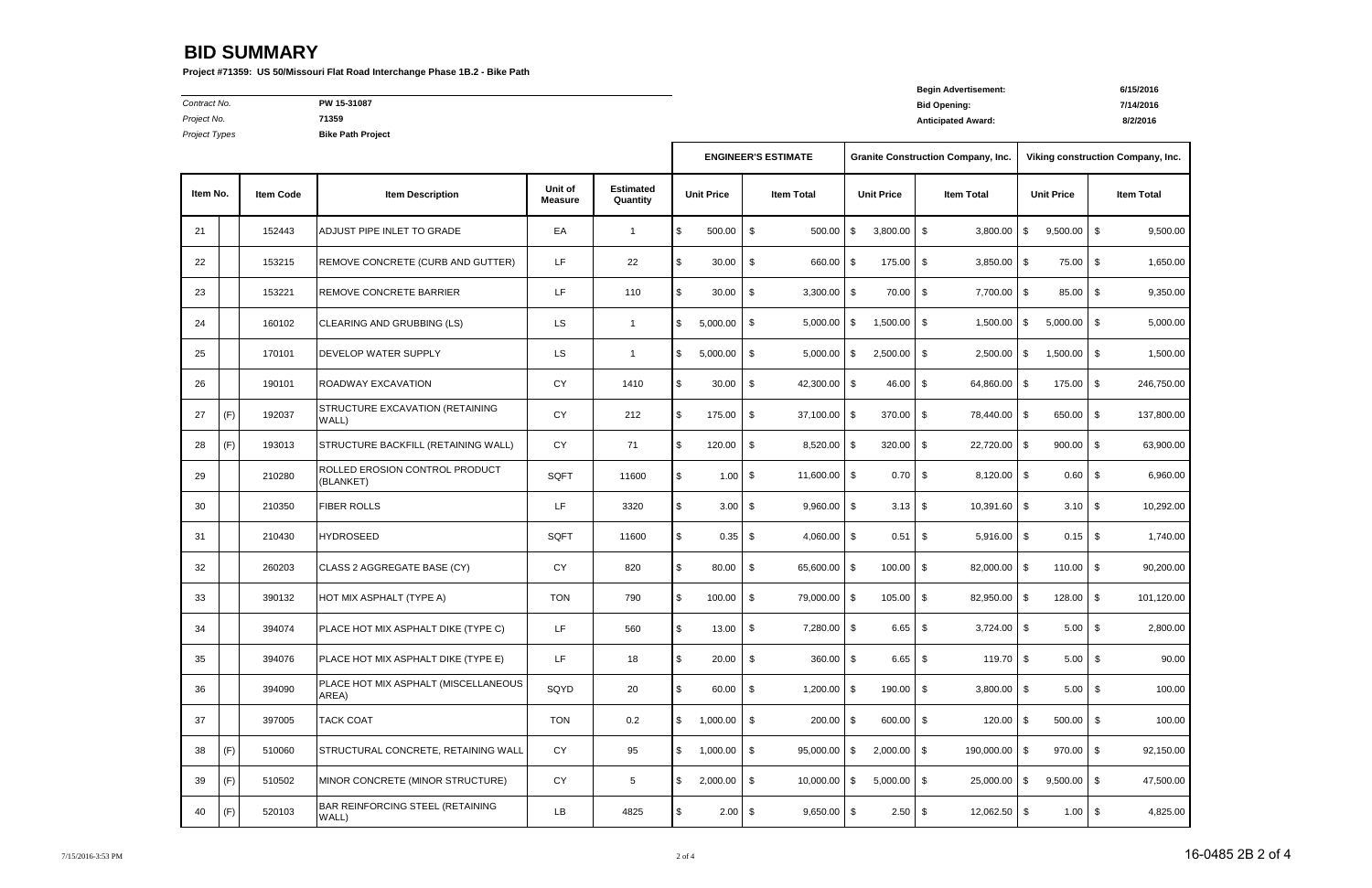*Project No.* **71359 Anticipated Award: 8/2/2016**

*Project Types* **Bike Path Project**

# **BID SUMMARY**

**Project #71359: US 50/Missouri Flat Road Interchange Phase 1B.2 - Bike Path**

|          |     |                  |                                               |                           |                              | <b>ENGINEER'S ESTIMATE</b> |                   |           |                   |                   |               |                   | <b>Granite Construction Company, Inc.</b> | Viking construction Company, Inc. |               |    |            |  |  |  |                   |  |                   |
|----------|-----|------------------|-----------------------------------------------|---------------------------|------------------------------|----------------------------|-------------------|-----------|-------------------|-------------------|---------------|-------------------|-------------------------------------------|-----------------------------------|---------------|----|------------|--|--|--|-------------------|--|-------------------|
| Item No. |     | <b>Item Code</b> | <b>Item Description</b>                       | Unit of<br><b>Measure</b> | <b>Estimated</b><br>Quantity |                            | <b>Unit Price</b> |           | <b>Item Total</b> | <b>Unit Price</b> |               | <b>Item Total</b> |                                           |                                   |               |    |            |  |  |  | <b>Unit Price</b> |  | <b>Item Total</b> |
| 21       |     | 152443           | ADJUST PIPE INLET TO GRADE                    | EA                        | $\mathbf{1}$                 | \$                         | 500.00            | \$        | 500.00            | l \$              | $3,800.00$ \$ |                   | 3,800.00                                  | \$                                | $9,500.00$ \$ |    | 9,500.00   |  |  |  |                   |  |                   |
| 22       |     | 153215           | REMOVE CONCRETE (CURB AND GUTTER)             | LF.                       | 22                           | \$                         | 30.00             | \$        | 660.00            | I \$              | 175.00        | -\$               | $3,850.00$ \$                             |                                   | 75.00         | \$ | 1,650.00   |  |  |  |                   |  |                   |
| 23       |     | 153221           | <b>REMOVE CONCRETE BARRIER</b>                | LF.                       | 110                          | \$                         | 30.00             | \$        | $3,300.00$ \$     |                   | $70.00$ \$    |                   | 7,700.00 \$                               |                                   | $85.00$ \$    |    | 9,350.00   |  |  |  |                   |  |                   |
| 24       |     | 160102           | CLEARING AND GRUBBING (LS)                    | LS.                       | $\mathbf{1}$                 | \$                         | 5,000.00          | \$        | 5,000.00          | l \$              | 1,500.00      | \$                | 1,500.00                                  | \$                                | 5,000.00      | \$ | 5,000.00   |  |  |  |                   |  |                   |
| 25       |     | 170101           | DEVELOP WATER SUPPLY                          | LS.                       | $\mathbf{1}$                 | \$                         | 5,000.00          | \$        | 5,000.00          | I \$              | $2,500.00$ \$ |                   | $2,500.00$ \$                             |                                   | $1,500.00$ \$ |    | 1,500.00   |  |  |  |                   |  |                   |
| 26       |     | 190101           | <b>ROADWAY EXCAVATION</b>                     | <b>CY</b>                 | 1410                         | \$                         | 30.00             | \$        | 42,300.00 \$      |                   | $46.00$ \$    |                   | 64,860.00 \$                              |                                   | 175.00        | \$ | 246,750.00 |  |  |  |                   |  |                   |
| 27       | (F) | 192037           | STRUCTURE EXCAVATION (RETAINING<br>WALL)      | <b>CY</b>                 | 212                          | \$                         | 175.00            | \$        | 37,100.00 \$      |                   | $370.00$ \$   |                   | 78,440.00 \$                              |                                   | $650.00$ \$   |    | 137,800.00 |  |  |  |                   |  |                   |
| 28       | (F) | 193013           | STRUCTURE BACKFILL (RETAINING WALL)           | <b>CY</b>                 | 71                           | \$                         | 120.00            | \$        | 8,520.00          | $\sqrt{3}$        | $320.00$ \$   |                   | 22,720.00 \$                              |                                   | 900.00        | \$ | 63,900.00  |  |  |  |                   |  |                   |
| 29       |     | 210280           | ROLLED EROSION CONTROL PRODUCT<br>(BLANKET)   | SQFT                      | 11600                        | \$                         | 1.00              | - \$      | $11,600.00$ \$    |                   | $0.70$ \$     |                   | $8,120.00$ \$                             |                                   | $0.60$ \$     |    | 6,960.00   |  |  |  |                   |  |                   |
| 30       |     | 210350           | <b>FIBER ROLLS</b>                            | LF                        | 3320                         | \$                         | 3.00              | <b>\$</b> | $9,960.00$ \$     |                   | $3.13$ \$     |                   | 10,391.60 \$                              |                                   | $3.10$ \$     |    | 10,292.00  |  |  |  |                   |  |                   |
| 31       |     | 210430           | <b>HYDROSEED</b>                              | SQFT                      | 11600                        | \$                         | 0.35              | \$        | $4,060.00$ \$     |                   | 0.51          | \$                | $5,916.00$ \$                             |                                   | $0.15$ \$     |    | 1,740.00   |  |  |  |                   |  |                   |
| 32       |     | 260203           | CLASS 2 AGGREGATE BASE (CY)                   | CY                        | 820                          | \$                         | 80.00             | \$        | 65,600.00 \$      |                   | $100.00$ \$   |                   | 82,000.00 \$                              |                                   | $110.00$ \$   |    | 90,200.00  |  |  |  |                   |  |                   |
| 33       |     | 390132           | HOT MIX ASPHALT (TYPE A)                      | <b>TON</b>                | 790                          | \$                         | 100.00            | \$        | 79,000.00         | $\sqrt{3}$        | $105.00$ \$   |                   | 82,950.00 \$                              |                                   | $128.00$ \$   |    | 101,120.00 |  |  |  |                   |  |                   |
| 34       |     | 394074           | PLACE HOT MIX ASPHALT DIKE (TYPE C)           | LF.                       | 560                          | \$                         | 13.00             | \$        | 7,280.00 \$       |                   | 6.65          | \$                | $3,724.00$ \$                             |                                   |               |    | 2,800.00   |  |  |  |                   |  |                   |
| 35       |     | 394076           | PLACE HOT MIX ASPHALT DIKE (TYPE E)           | LF                        | 18                           | \$                         | 20.00             | \$        | $360.00$ \$       |                   | $6.65$ \$     |                   | $119.70$ \$                               |                                   | $5.00$ \$     |    | 90.00      |  |  |  |                   |  |                   |
| 36       |     | 394090           | PLACE HOT MIX ASPHALT (MISCELLANEOUS<br>AREA) | SQYD                      | 20                           | \$                         | 60.00             | \$        | $1,200.00$ \$     |                   | $190.00$ \$   |                   | $3,800.00$ \$                             |                                   | $5.00$ \$     |    | 100.00     |  |  |  |                   |  |                   |
| 37       |     | 397005           | <b>TACK COAT</b>                              | <b>TON</b>                | $0.2\,$                      | \$                         | 1,000.00          | \$        | $200.00$ \$       |                   | $600.00$ \$   |                   | $120.00$ \$                               |                                   | $500.00$ \$   |    | 100.00     |  |  |  |                   |  |                   |
| 38       | (F) | 510060           | STRUCTURAL CONCRETE, RETAINING WALL           | <b>CY</b>                 | 95                           | \$                         | 1,000.00          | \$        | 95,000.00 \$      |                   | $2,000.00$ \$ |                   | 190,000.00 \$                             |                                   | $970.00$ \$   |    | 92,150.00  |  |  |  |                   |  |                   |
| 39       | (F) | 510502           | MINOR CONCRETE (MINOR STRUCTURE)              | <b>CY</b>                 | 5                            | \$                         | 2,000.00          | \$        | 10,000.00         | $\sqrt{3}$        | $5,000.00$ \$ |                   | 25,000.00 \$                              |                                   | $9,500.00$ \$ |    | 47,500.00  |  |  |  |                   |  |                   |
| 40       | (F) | 520103           | BAR REINFORCING STEEL (RETAINING<br>WALL)     | LB                        | 4825                         | \$                         | $2.00 \, \$$      |           | $9,650.00$ \$     |                   | $2.50$ \$     |                   | 12,062.50 \$                              |                                   | $1.00$ \$     |    | 4,825.00   |  |  |  |                   |  |                   |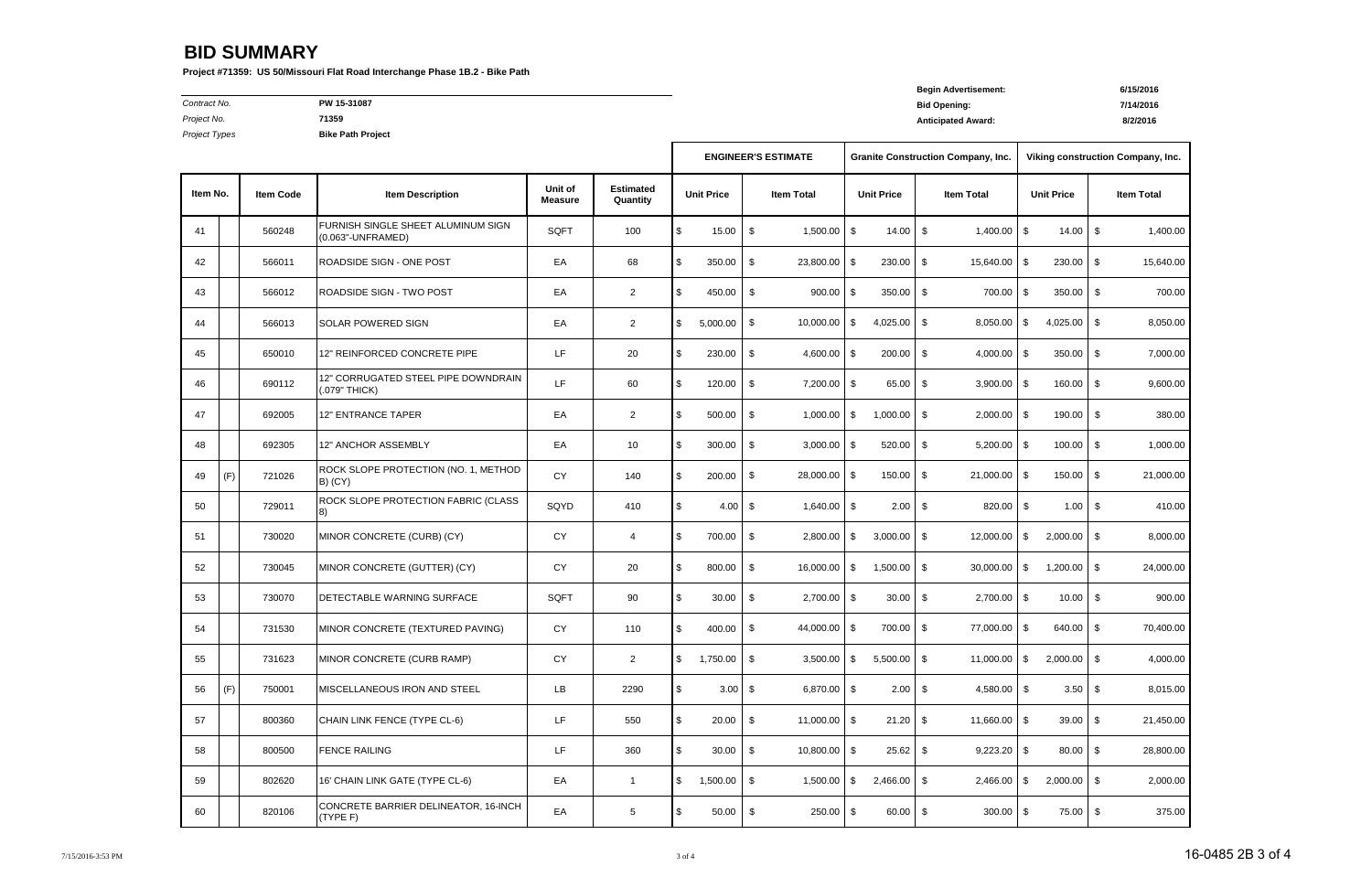*Project No.* **71359 Anticipated Award: 8/2/2016**

*Project Types* **Bike Path Project**

# **BID SUMMARY**

**Project #71359: US 50/Missouri Flat Road Interchange Phase 1B.2 - Bike Path**

|          |     |                  |                                                         |                    |                              |                         |                                        | <b>ENGINEER'S ESTIMATE</b> |                |                   |                    | <b>Granite Construction Company, Inc.</b> | Viking construction Company, Inc. |                   |               |                   |           |
|----------|-----|------------------|---------------------------------------------------------|--------------------|------------------------------|-------------------------|----------------------------------------|----------------------------|----------------|-------------------|--------------------|-------------------------------------------|-----------------------------------|-------------------|---------------|-------------------|-----------|
| Item No. |     | <b>Item Code</b> | <b>Item Description</b>                                 | Unit of<br>Measure | <b>Estimated</b><br>Quantity |                         | <b>Unit Price</b><br><b>Item Total</b> |                            |                | <b>Unit Price</b> | <b>Item Total</b>  |                                           |                                   | <b>Unit Price</b> |               | <b>Item Total</b> |           |
| 41       |     | 560248           | FURNISH SINGLE SHEET ALUMINUM SIGN<br>(0.063"-UNFRAMED) | SQFT               | 100                          | \$                      | 15.00                                  | \$                         | $1,500.00$ \$  |                   | 14.00              | \$                                        | 1,400.00                          | -\$               | $14.00$ \$    |                   | 1,400.00  |
| 42       |     | 566011           | <b>ROADSIDE SIGN - ONE POST</b>                         | EA                 | 68                           | \$                      | 350.00                                 | \$                         | 23,800.00 \$   |                   | 230.00             | \$                                        | 15,640.00                         | -\$               | 230.00        | \$                | 15,640.00 |
| 43       |     | 566012           | <b>ROADSIDE SIGN - TWO POST</b>                         | EA                 | $\overline{2}$               | \$                      | 450.00                                 | $\boldsymbol{\mathsf{S}}$  | $900.00$ \$    |                   | 350.00             | \$                                        | 700.00 \$                         |                   | $350.00$ \$   |                   | 700.00    |
| 44       |     | 566013           | <b>SOLAR POWERED SIGN</b>                               | ЕA                 | $\overline{2}$               | \$                      | 5,000.00                               | \$                         | 10,000.00      | S                 | 4,025.00           | \$                                        | 8,050.00                          | \$                | 4,025.00      | \$                | 8,050.00  |
| 45       |     | 650010           | 12" REINFORCED CONCRETE PIPE                            | LF                 | 20                           | \$                      | 230.00                                 | \$                         | $4,600.00$ \$  |                   | 200.00             | \$                                        | $4,000.00$ \$                     |                   | 350.00        | \$                | 7,000.00  |
| 46       |     | 690112           | 12" CORRUGATED STEEL PIPE DOWNDRAIN<br>(.079" THICK)    | LF                 | 60                           | $\sqrt[6]{3}$           | 120.00                                 | \$                         | $7,200.00$ \$  |                   | 65.00              | \$                                        | $3,900.00$ \$                     |                   | 160.00        | \$                | 9,600.00  |
| 47       |     | 692005           | <b>12" ENTRANCE TAPER</b>                               | EA                 | $\overline{2}$               | \$                      | 500.00                                 | \$                         | 1,000.00       | - \$              | 1,000.00           | \$                                        | $2,000.00$ \$                     |                   | 190.00        | \$                | 380.00    |
| 48       |     | 692305           | 12" ANCHOR ASSEMBLY                                     | EA                 | 10                           | \$                      | 300.00                                 | \$                         | 3,000.00       | <b>IS</b>         | 520.00             | \$                                        | $5,200.00$ \$                     |                   | 100.00        | \$                | 1,000.00  |
| 49       | (F) | 721026           | ROCK SLOPE PROTECTION (NO. 1, METHOD<br>B) (CY)         | <b>CY</b>          | 140                          | \$                      | 200.00                                 | \$                         | 28,000.00 \$   |                   | 150.00             | \$                                        | $21,000.00$ \$                    |                   | 150.00        | \$                | 21,000.00 |
| 50       |     | 729011           | ROCK SLOPE PROTECTION FABRIC (CLASS                     | SQYD               | 410                          | \$                      | $4.00$ \$                              |                            | $1,640.00$ \$  |                   | 2.00               | \$                                        | $820.00$ \$                       |                   | 1.00          | \$                | 410.00    |
| 51       |     | 730020           | MINOR CONCRETE (CURB) (CY)                              | CY                 | 4                            | \$                      | 700.00                                 | \$                         | 2,800.00       | S                 | 3,000.00           | \$                                        | 12,000.00                         | \$                | 2,000.00      | \$                | 8,000.00  |
| 52       |     | 730045           | MINOR CONCRETE (GUTTER) (CY)                            | <b>CY</b>          | 20                           | \$                      | 800.00                                 | \$                         | $16,000.00$ \$ |                   | 1,500.00           | \$                                        | $30,000.00$ \$                    |                   | $1,200.00$ \$ |                   | 24,000.00 |
| 53       |     | 730070           | DETECTABLE WARNING SURFACE                              | SQFT               | 90                           | \$                      | 30.00                                  | \$                         | $2,700.00$ \$  |                   | 30.00              | \$                                        | $2,700.00$ \$                     |                   | 10.00         | \$                | 900.00    |
| 54       |     | 731530           | MINOR CONCRETE (TEXTURED PAVING)                        | <b>CY</b>          | 110                          | \$                      | 400.00                                 | -\$                        | 44,000.00 \$   |                   | 700.00             | \$                                        | 77,000.00                         | -\$               | 640.00 \$     |                   | 70,400.00 |
| 55       |     | 731623           | MINOR CONCRETE (CURB RAMP)                              | CY                 | $\overline{2}$               | $\sqrt[6]{3}$           | 1,750.00                               | I \$                       | $3,500.00$ \$  |                   | $5,500.00$ \$      |                                           | $11,000.00$ \$                    |                   | $2,000.00$ \$ |                   | 4,000.00  |
| 56       | (F) | 750001           | MISCELLANEOUS IRON AND STEEL                            | LB                 | 2290                         | $\sqrt[6]{3}$           | $3.00\frac{ }{}$ \$                    |                            | 6,870.00 \$    |                   | $2.00 \, \text{S}$ |                                           | 4,580.00 \$                       |                   | $3.50$ \$     |                   | 8,015.00  |
| 57       |     | 800360           | CHAIN LINK FENCE (TYPE CL-6)                            | LF                 | 550                          | $\sqrt[6]{3}$           | 20.00                                  | $\sqrt[6]{\frac{1}{2}}$    | $11,000.00$ \$ |                   | 21.20              | \$                                        | 11,660.00 \$                      |                   | $39.00$ \$    |                   | 21,450.00 |
| 58       |     | 800500           | <b>FENCE RAILING</b>                                    | LF                 | 360                          | \$                      | 30.00                                  | \$                         | 10,800.00 \$   |                   | $25.62$ \$         |                                           | $9,223.20$ \$                     |                   | $80.00$ \$    |                   | 28,800.00 |
| 59       |     | 802620           | 16' CHAIN LINK GATE (TYPE CL-6)                         | EA                 | $\mathbf{1}$                 | $\sqrt[6]{\frac{1}{2}}$ | 1,500.00                               | \$                         | $1,500.00$ \$  |                   | $2,466.00$ \$      |                                           | $2,466.00$ \$                     |                   | $2,000.00$ \$ |                   | 2,000.00  |
| 60       |     | 820106           | CONCRETE BARRIER DELINEATOR, 16-INCH<br>(TYPE F)        | EA                 | $\,$ 5 $\,$                  | \$                      | 50.00                                  | \$                         | $250.00$ \$    |                   | $60.00$ \$         |                                           | $300.00$ \$                       |                   | 75.00 \$      |                   | 375.00    |